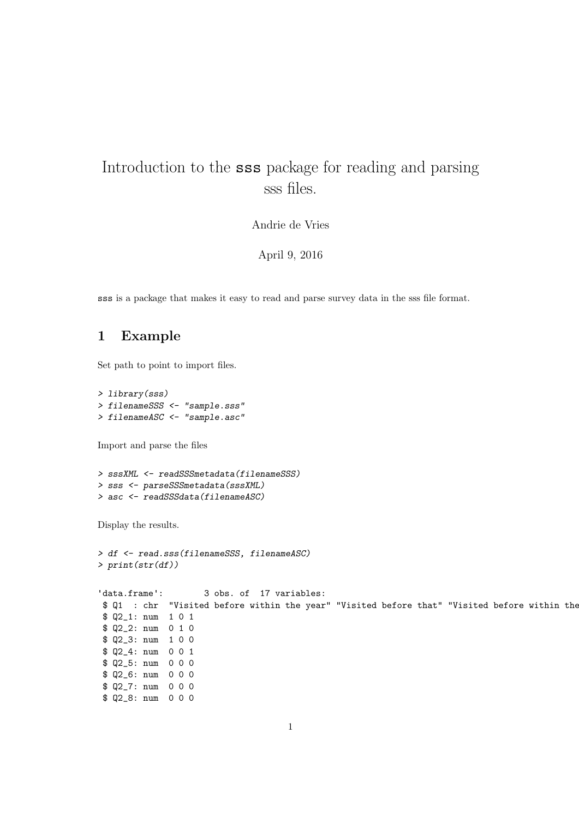## Introduction to the sss package for reading and parsing sss files.

Andrie de Vries

April 9, 2016

sss is a package that makes it easy to read and parse survey data in the sss file format.

## 1 Example

Set path to point to import files.

> library(sss) > filenameSSS <- "sample.sss" > filenameASC <- "sample.asc"

Import and parse the files

```
> sssXML <- readSSSmetadata(filenameSSS)
> sss <- parseSSSmetadata(sssXML)
> asc <- readSSSdata(filenameASC)
```
> df <- read.sss(filenameSSS, filenameASC)

Display the results.

```
> print(str(df))
'data.frame': 3 obs. of 17 variables:
$ Q1 : chr "Visited before within the year" "Visited before that" "Visited before within the year"
$ Q2_1: num 1 0 1
$ Q2_2: num 0 1 0
$ Q2_3: num 1 0 0
$ Q2_4: num 0 0 1
$ Q2_5: num 0 0 0
$ Q2_6: num 0 0 0
$ Q2_7: num 0 0 0
$ 02 8: num 0 0 0
```